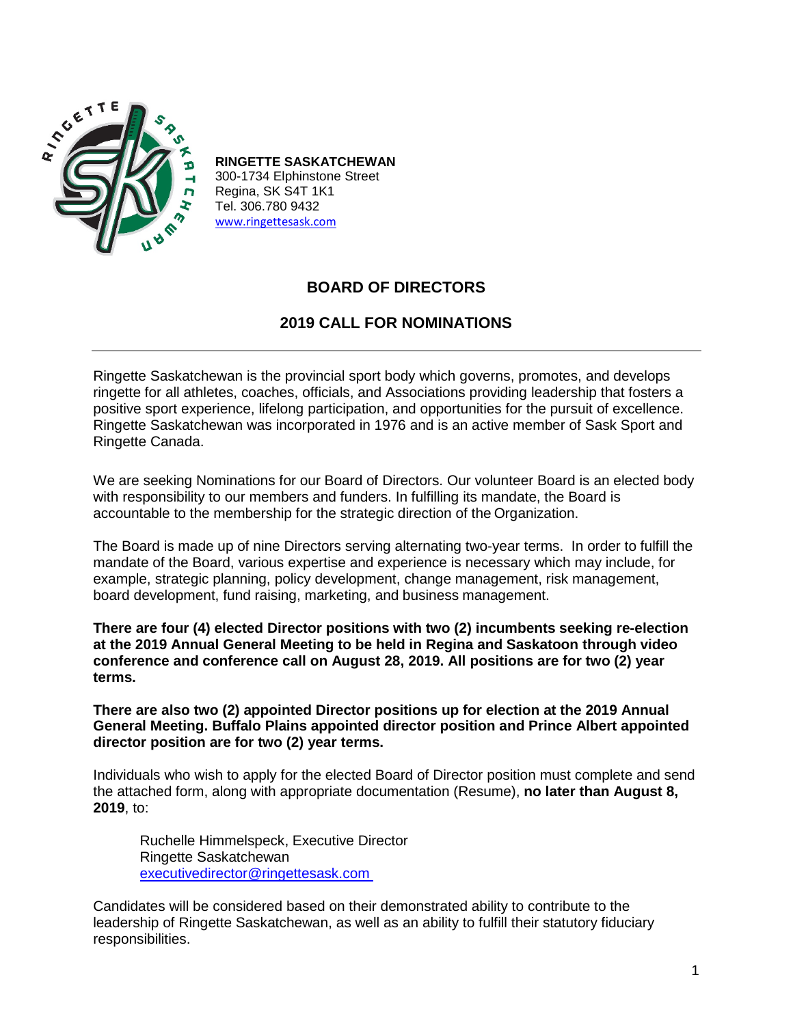

**RINGETTE SASKATCHEWAN** 300-1734 Elphinstone Street Regina, SK S4T 1K1 Tel. 306.780 9432 www.ringettesask.com

# **BOARD OF DIRECTORS**

## **2019 CALL FOR NOMINATIONS**

Ringette Saskatchewan is the provincial sport body which governs, promotes, and develops ringette for all athletes, coaches, officials, and Associations providing leadership that fosters a positive sport experience, lifelong participation, and opportunities for the pursuit of excellence. Ringette Saskatchewan was incorporated in 1976 and is an active member of Sask Sport and Ringette Canada.

We are seeking Nominations for our Board of Directors. Our volunteer Board is an elected body with responsibility to our members and funders. In fulfilling its mandate, the Board is accountable to the membership for the strategic direction of the Organization.

The Board is made up of nine Directors serving alternating two-year terms. In order to fulfill the mandate of the Board, various expertise and experience is necessary which may include, for example, strategic planning, policy development, change management, risk management, board development, fund raising, marketing, and business management.

**There are four (4) elected Director positions with two (2) incumbents seeking re-election at the 2019 Annual General Meeting to be held in Regina and Saskatoon through video conference and conference call on August 28, 2019. All positions are for two (2) year terms.**

**There are also two (2) appointed Director positions up for election at the 2019 Annual General Meeting. Buffalo Plains appointed director position and Prince Albert appointed director position are for two (2) year terms.**

Individuals who wish to apply for the elected Board of Director position must complete and send the attached form, along with appropriate documentation (Resume), **no later than August 8, 2019**, to:

Ruchelle Himmelspeck, Executive Director Ringette Saskatchewan [executivedirector@ringettesask.com](mailto:executivedirector@ringettesask.com)

Candidates will be considered based on their demonstrated ability to contribute to the leadership of Ringette Saskatchewan, as well as an ability to fulfill their statutory fiduciary responsibilities.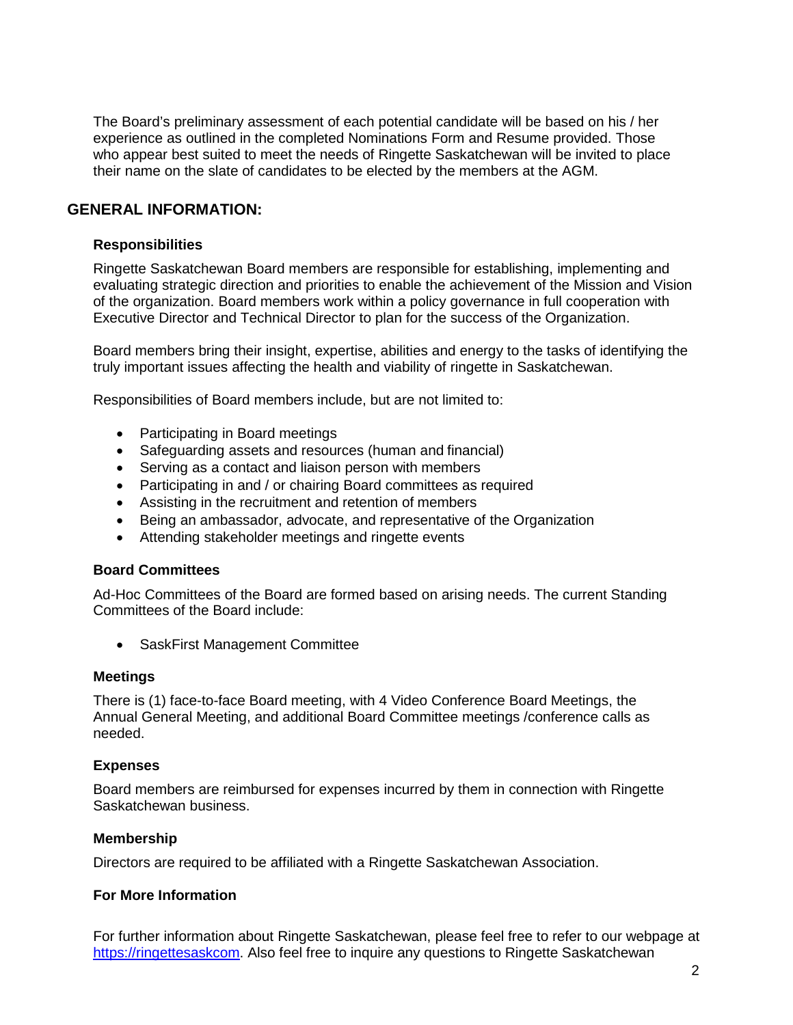The Board's preliminary assessment of each potential candidate will be based on his / her experience as outlined in the completed Nominations Form and Resume provided. Those who appear best suited to meet the needs of Ringette Saskatchewan will be invited to place their name on the slate of candidates to be elected by the members at the AGM.

## **GENERAL INFORMATION:**

### **Responsibilities**

Ringette Saskatchewan Board members are responsible for establishing, implementing and evaluating strategic direction and priorities to enable the achievement of the Mission and Vision of the organization. Board members work within a policy governance in full cooperation with Executive Director and Technical Director to plan for the success of the Organization.

Board members bring their insight, expertise, abilities and energy to the tasks of identifying the truly important issues affecting the health and viability of ringette in Saskatchewan.

Responsibilities of Board members include, but are not limited to:

- Participating in Board meetings
- Safeguarding assets and resources (human and financial)
- Serving as a contact and liaison person with members
- Participating in and / or chairing Board committees as required
- Assisting in the recruitment and retention of members
- Being an ambassador, advocate, and representative of the Organization
- Attending stakeholder meetings and ringette events

#### **Board Committees**

Ad-Hoc Committees of the Board are formed based on arising needs. The current Standing Committees of the Board include:

• SaskFirst Management Committee

#### **Meetings**

There is (1) face-to-face Board meeting, with 4 Video Conference Board Meetings, the Annual General Meeting, and additional Board Committee meetings /conference calls as needed.

#### **Expenses**

Board members are reimbursed for expenses incurred by them in connection with Ringette Saskatchewan business.

#### **Membership**

Directors are required to be affiliated with a Ringette Saskatchewan Association.

#### **For More Information**

For further information about Ringette Saskatchewan, please feel free to refer to our webpage at https://ringettesaskcom. Also feel free to inquire any questions to Ringette Saskatchewan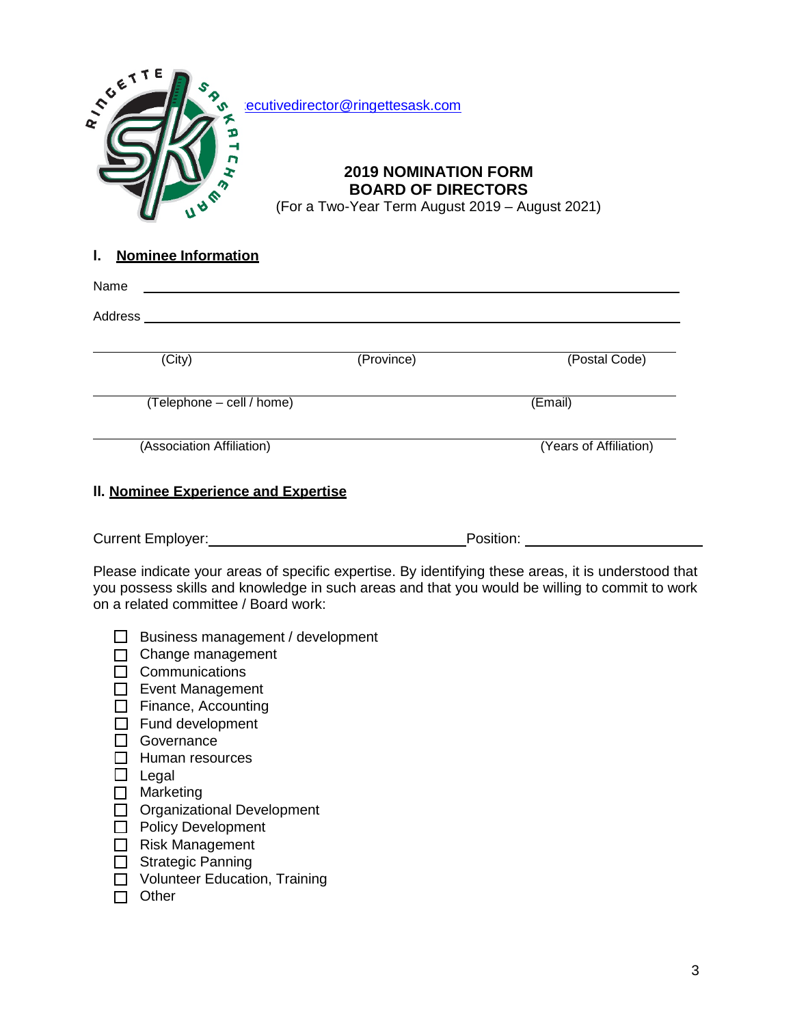

## **l. Nominee Information**

| Name                                                   |            |                                                                                                                                                                                                       |
|--------------------------------------------------------|------------|-------------------------------------------------------------------------------------------------------------------------------------------------------------------------------------------------------|
|                                                        |            |                                                                                                                                                                                                       |
| (City)                                                 | (Province) | (Postal Code)                                                                                                                                                                                         |
| (Telephone - cell / home)                              |            | (Email)                                                                                                                                                                                               |
| (Association Affiliation)                              |            | (Years of Affiliation)                                                                                                                                                                                |
| II. Nominee Experience and Expertise                   |            |                                                                                                                                                                                                       |
| Current Employer:<br><u>Current Employer:</u>          |            | Position: <b>Example</b>                                                                                                                                                                              |
| on a related committee / Board work:                   |            | Please indicate your areas of specific expertise. By identifying these areas, it is understood that<br>you possess skills and knowledge in such areas and that you would be willing to commit to work |
| Business management / development<br>Change management |            |                                                                                                                                                                                                       |

- Change management
- Communications
- Event Management
- Finance, Accounting
- Fund development
- Governance
- Human resources
- $\Box$  Legal
- □ Marketing
- Organizational Development
- □ Policy Development
- Risk Management
- Strategic Panning
- **J** Volunteer Education, Training
- $\Box$  Other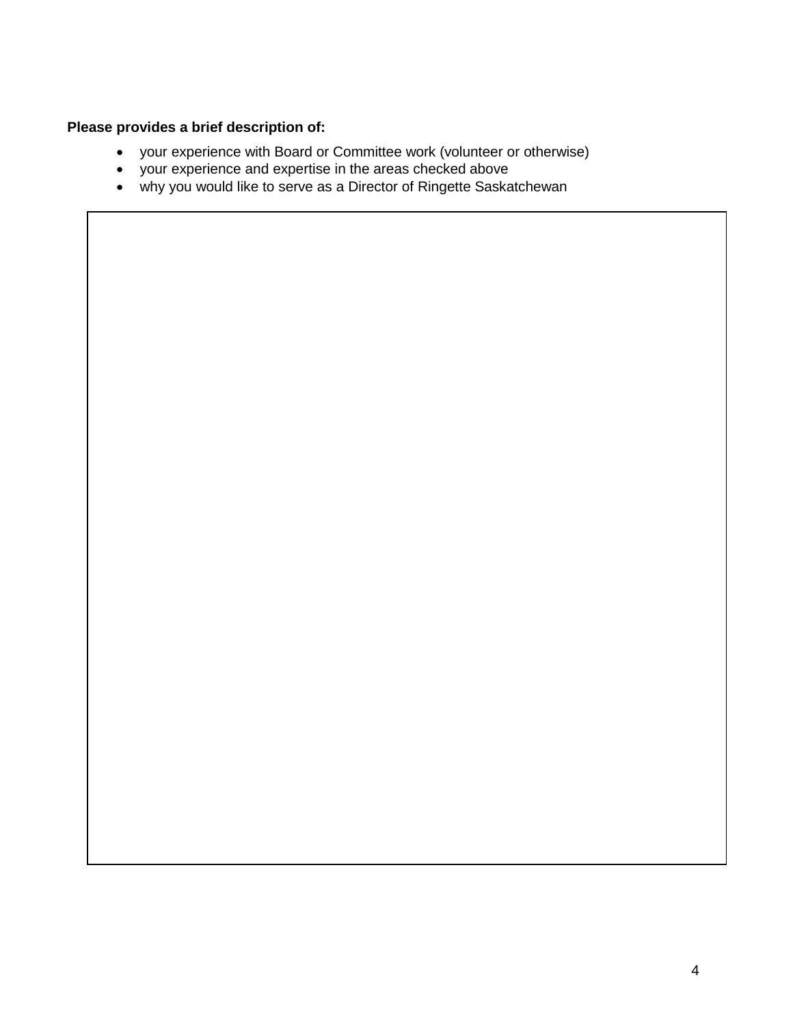## **Please provides a brief description of:**

- your experience with Board or Committee work (volunteer or otherwise)
- your experience and expertise in the areas checked above
- why you would like to serve as a Director of Ringette Saskatchewan